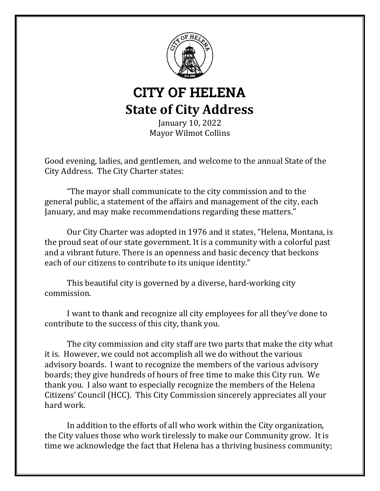

# CITY OF HELENA **State of City Address**

January 10, 2022 Mayor Wilmot Collins

Good evening, ladies, and gentlemen, and welcome to the annual State of the City Address. The City Charter states:

"The mayor shall communicate to the city commission and to the general public, a statement of the affairs and management of the city, each January, and may make recommendations regarding these matters."

Our City Charter was adopted in 1976 and it states, "Helena, Montana, is the proud seat of our state government. It is a community with a colorful past and a vibrant future. There is an openness and basic decency that beckons each of our citizens to contribute to its unique identity."

This beautiful city is governed by a diverse, hard-working city commission.

I want to thank and recognize all city employees for all they've done to contribute to the success of this city, thank you.

The city commission and city staff are two parts that make the city what it is. However, we could not accomplish all we do without the various advisory boards. I want to recognize the members of the various advisory boards; they give hundreds of hours of free time to make this City run. We thank you. I also want to especially recognize the members of the Helena Citizens' Council (HCC). This City Commission sincerely appreciates all your hard work.

In addition to the efforts of all who work within the City organization, the City values those who work tirelessly to make our Community grow. It is time we acknowledge the fact that Helena has a thriving business community;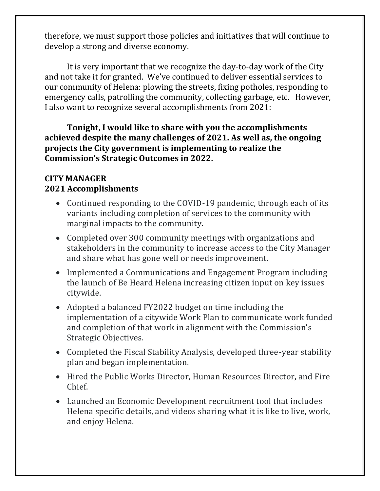therefore, we must support those policies and initiatives that will continue to develop a strong and diverse economy.

It is very important that we recognize the day-to-day work of the City and not take it for granted. We've continued to deliver essential services to our community of Helena: plowing the streets, fixing potholes, responding to emergency calls, patrolling the community, collecting garbage, etc. However, I also want to recognize several accomplishments from 2021:

**Tonight, I would like to share with you the accomplishments achieved despite the many challenges of 2021. As well as, the ongoing projects the City government is implementing to realize the Commission's Strategic Outcomes in 2022.**

#### **CITY MANAGER 2021 Accomplishments**

- Continued responding to the COVID-19 pandemic, through each of its variants including completion of services to the community with marginal impacts to the community.
- Completed over 300 community meetings with organizations and stakeholders in the community to increase access to the City Manager and share what has gone well or needs improvement.
- Implemented a Communications and Engagement Program including the launch of Be Heard Helena increasing citizen input on key issues citywide.
- Adopted a balanced FY2022 budget on time including the implementation of a citywide Work Plan to communicate work funded and completion of that work in alignment with the Commission's Strategic Objectives.
- Completed the Fiscal Stability Analysis, developed three-year stability plan and began implementation.
- Hired the Public Works Director, Human Resources Director, and Fire Chief.
- Launched an Economic Development recruitment tool that includes Helena specific details, and videos sharing what it is like to live, work, and enjoy Helena.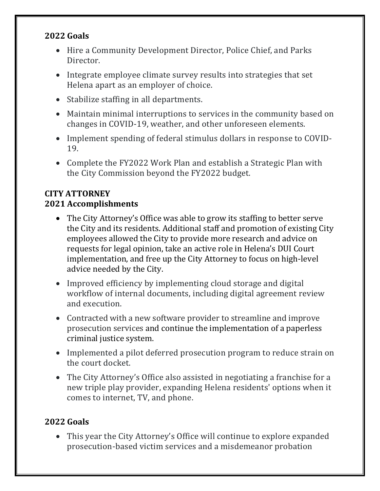#### **2022 Goals**

- Hire a Community Development Director, Police Chief, and Parks Director.
- Integrate employee climate survey results into strategies that set Helena apart as an employer of choice.
- Stabilize staffing in all departments.
- Maintain minimal interruptions to services in the community based on changes in COVID-19, weather, and other unforeseen elements.
- Implement spending of federal stimulus dollars in response to COVID-19.
- Complete the FY2022 Work Plan and establish a Strategic Plan with the City Commission beyond the FY2022 budget.

# **CITY ATTORNEY 2021 Accomplishments**

- The City Attorney's Office was able to grow its staffing to better serve the City and its residents. Additional staff and promotion of existing City employees allowed the City to provide more research and advice on requests for legal opinion, take an active role in Helena's DUI Court implementation, and free up the City Attorney to focus on high-level advice needed by the City.
- Improved efficiency by implementing cloud storage and digital workflow of internal documents, including digital agreement review and execution.
- Contracted with a new software provider to streamline and improve prosecution services and continue the implementation of a paperless criminal justice system.
- Implemented a pilot deferred prosecution program to reduce strain on the court docket.
- The City Attorney's Office also assisted in negotiating a franchise for a new triple play provider, expanding Helena residents' options when it comes to internet, TV, and phone.

# **2022 Goals**

• This year the City Attorney's Office will continue to explore expanded prosecution-based victim services and a misdemeanor probation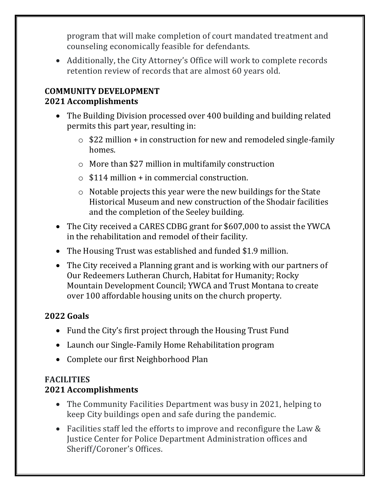program that will make completion of court mandated treatment and counseling economically feasible for defendants.

• Additionally, the City Attorney's Office will work to complete records retention review of records that are almost 60 years old.

#### **COMMUNITY DEVELOPMENT 2021 Accomplishments**

- The Building Division processed over 400 building and building related permits this part year, resulting in:
	- $\circ$  \$22 million + in construction for new and remodeled single-family homes.
	- o More than \$27 million in multifamily construction
	- $\circ$  \$114 million + in commercial construction.
	- o Notable projects this year were the new buildings for the State Historical Museum and new construction of the Shodair facilities and the completion of the Seeley building.
- The City received a CARES CDBG grant for \$607,000 to assist the YWCA in the rehabilitation and remodel of their facility.
- The Housing Trust was established and funded \$1.9 million.
- The City received a Planning grant and is working with our partners of Our Redeemers Lutheran Church, Habitat for Humanity; Rocky Mountain Development Council; YWCA and Trust Montana to create over 100 affordable housing units on the church property.

# **2022 Goals**

- Fund the City's first project through the Housing Trust Fund
- Launch our Single-Family Home Rehabilitation program
- Complete our first Neighborhood Plan

#### **FACILITIES 2021 Accomplishments**

- The Community Facilities Department was busy in 2021, helping to keep City buildings open and safe during the pandemic.
- Facilities staff led the efforts to improve and reconfigure the Law & Justice Center for Police Department Administration offices and Sheriff/Coroner's Offices.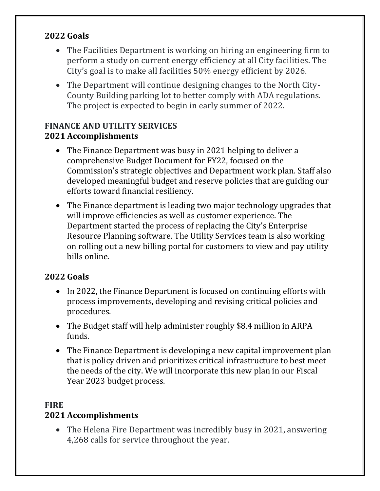#### **2022 Goals**

- The Facilities Department is working on hiring an engineering firm to perform a study on current energy efficiency at all City facilities. The City's goal is to make all facilities 50% energy efficient by 2026.
- The Department will continue designing changes to the North City-County Building parking lot to better comply with ADA regulations. The project is expected to begin in early summer of 2022.

# **FINANCE AND UTILITY SERVICES 2021 Accomplishments**

- The Finance Department was busy in 2021 helping to deliver a comprehensive Budget Document for FY22, focused on the Commission's strategic objectives and Department work plan. Staff also developed meaningful budget and reserve policies that are guiding our efforts toward financial resiliency.
- The Finance department is leading two major technology upgrades that will improve efficiencies as well as customer experience. The Department started the process of replacing the City's Enterprise Resource Planning software. The Utility Services team is also working on rolling out a new billing portal for customers to view and pay utility bills online.

# **2022 Goals**

- In 2022, the Finance Department is focused on continuing efforts with process improvements, developing and revising critical policies and procedures.
- The Budget staff will help administer roughly \$8.4 million in ARPA funds.
- The Finance Department is developing a new capital improvement plan that is policy driven and prioritizes critical infrastructure to best meet the needs of the city. We will incorporate this new plan in our Fiscal Year 2023 budget process.

#### **FIRE 2021 Accomplishments**

• The Helena Fire Department was incredibly busy in 2021, answering 4,268 calls for service throughout the year.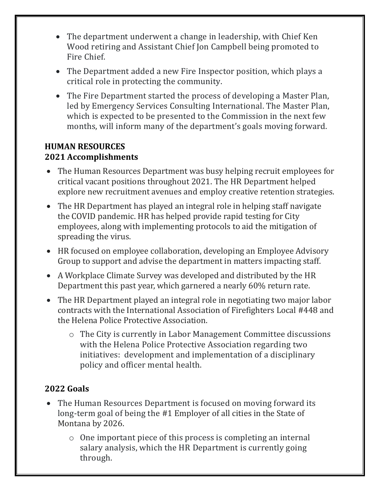- The department underwent a change in leadership, with Chief Ken Wood retiring and Assistant Chief Jon Campbell being promoted to Fire Chief.
- The Department added a new Fire Inspector position, which plays a critical role in protecting the community.
- The Fire Department started the process of developing a Master Plan, led by Emergency Services Consulting International. The Master Plan, which is expected to be presented to the Commission in the next few months, will inform many of the department's goals moving forward.

#### **HUMAN RESOURCES 2021 Accomplishments**

- The Human Resources Department was busy helping recruit employees for critical vacant positions throughout 2021. The HR Department helped explore new recruitment avenues and employ creative retention strategies.
- The HR Department has played an integral role in helping staff navigate the COVID pandemic. HR has helped provide rapid testing for City employees, along with implementing protocols to aid the mitigation of spreading the virus.
- HR focused on employee collaboration, developing an Employee Advisory Group to support and advise the department in matters impacting staff.
- A Workplace Climate Survey was developed and distributed by the HR Department this past year, which garnered a nearly 60% return rate.
- The HR Department played an integral role in negotiating two major labor contracts with the International Association of Firefighters Local #448 and the Helena Police Protective Association.
	- o The City is currently in Labor Management Committee discussions with the Helena Police Protective Association regarding two initiatives: development and implementation of a disciplinary policy and officer mental health.

# **2022 Goals**

- The Human Resources Department is focused on moving forward its long-term goal of being the #1 Employer of all cities in the State of Montana by 2026.
	- o One important piece of this process is completing an internal salary analysis, which the HR Department is currently going through.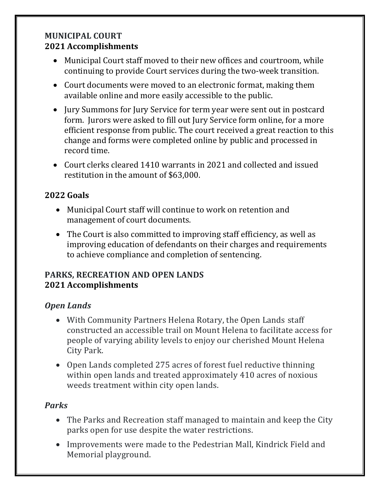#### **MUNICIPAL COURT 2021 Accomplishments**

- Municipal Court staff moved to their new offices and courtroom, while continuing to provide Court services during the two-week transition.
- Court documents were moved to an electronic format, making them available online and more easily accessible to the public.
- Jury Summons for Jury Service for term year were sent out in postcard form. Jurors were asked to fill out Jury Service form online, for a more efficient response from public. The court received a great reaction to this change and forms were completed online by public and processed in record time.
- Court clerks cleared 1410 warrants in 2021 and collected and issued restitution in the amount of \$63,000.

# **2022 Goals**

- Municipal Court staff will continue to work on retention and management of court documents.
- The Court is also committed to improving staff efficiency, as well as improving education of defendants on their charges and requirements to achieve compliance and completion of sentencing.

#### **PARKS, RECREATION AND OPEN LANDS 2021 Accomplishments**

#### *Open Lands*

- With Community Partners Helena Rotary, the Open Lands staff constructed an accessible trail on Mount Helena to facilitate access for people of varying ability levels to enjoy our cherished Mount Helena City Park.
- Open Lands completed 275 acres of forest fuel reductive thinning within open lands and treated approximately 410 acres of noxious weeds treatment within city open lands.

#### *Parks*

- The Parks and Recreation staff managed to maintain and keep the City parks open for use despite the water restrictions.
- Improvements were made to the Pedestrian Mall, Kindrick Field and Memorial playground.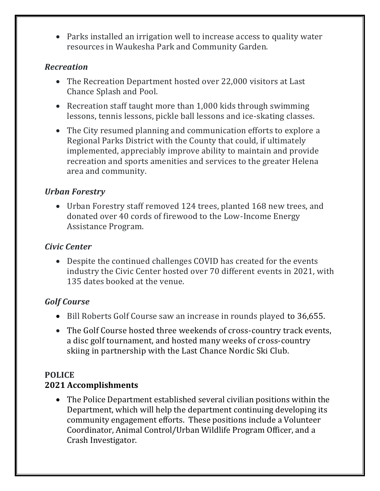• Parks installed an irrigation well to increase access to quality water resources in Waukesha Park and Community Garden.

#### *Recreation*

- The Recreation Department hosted over 22,000 visitors at Last Chance Splash and Pool.
- Recreation staff taught more than 1,000 kids through swimming lessons, tennis lessons, pickle ball lessons and ice-skating classes.
- The City resumed planning and communication efforts to explore a Regional Parks District with the County that could, if ultimately implemented, appreciably improve ability to maintain and provide recreation and sports amenities and services to the greater Helena area and community.

# *Urban Forestry*

• Urban Forestry staff removed 124 trees, planted 168 new trees, and donated over 40 cords of firewood to the Low-Income Energy Assistance Program.

#### *Civic Center*

• Despite the continued challenges COVID has created for the events industry the Civic Center hosted over 70 different events in 2021, with 135 dates booked at the venue.

# *Golf Course*

- Bill Roberts Golf Course saw an increase in rounds played to 36,655.
- The Golf Course hosted three weekends of cross-country track events, a disc golf tournament, and hosted many weeks of cross-country skiing in partnership with the Last Chance Nordic Ski Club.

# **POLICE**

# **2021 Accomplishments**

• The Police Department established several civilian positions within the Department, which will help the department continuing developing its community engagement efforts. These positions include a Volunteer Coordinator, Animal Control/Urban Wildlife Program Officer, and a Crash Investigator.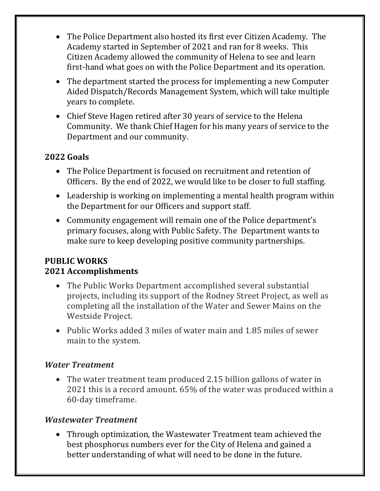- The Police Department also hosted its first ever Citizen Academy. The Academy started in September of 2021 and ran for 8 weeks. This Citizen Academy allowed the community of Helena to see and learn first-hand what goes on with the Police Department and its operation.
- The department started the process for implementing a new Computer Aided Dispatch/Records Management System, which will take multiple years to complete.
- Chief Steve Hagen retired after 30 years of service to the Helena Community. We thank Chief Hagen for his many years of service to the Department and our community.

# **2022 Goals**

- The Police Department is focused on recruitment and retention of Officers. By the end of 2022, we would like to be closer to full staffing.
- Leadership is working on implementing a mental health program within the Department for our Officers and support staff.
- Community engagement will remain one of the Police department's primary focuses, along with Public Safety. The Department wants to make sure to keep developing positive community partnerships.

#### **PUBLIC WORKS 2021 Accomplishments**

- The Public Works Department accomplished several substantial projects, including its support of the Rodney Street Project, as well as completing all the installation of the Water and Sewer Mains on the Westside Project.
- Public Works added 3 miles of water main and 1.85 miles of sewer main to the system.

#### *Water Treatment*

• The water treatment team produced 2.15 billion gallons of water in 2021 this is a record amount. 65% of the water was produced within a 60-day timeframe.

#### *Wastewater Treatment*

• Through optimization, the Wastewater Treatment team achieved the best phosphorus numbers ever for the City of Helena and gained a better understanding of what will need to be done in the future.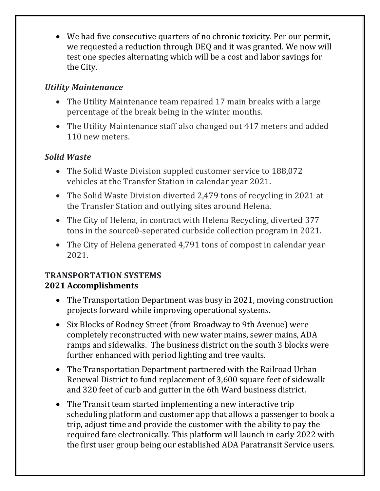• We had five consecutive quarters of no chronic toxicity. Per our permit, we requested a reduction through DEQ and it was granted. We now will test one species alternating which will be a cost and labor savings for the City.

# *Utility Maintenance*

- The Utility Maintenance team repaired 17 main breaks with a large percentage of the break being in the winter months.
- The Utility Maintenance staff also changed out 417 meters and added 110 new meters.

# *Solid Waste*

- The Solid Waste Division suppled customer service to 188,072 vehicles at the Transfer Station in calendar year 2021.
- The Solid Waste Division diverted 2,479 tons of recycling in 2021 at the Transfer Station and outlying sites around Helena.
- The City of Helena, in contract with Helena Recycling, diverted 377 tons in the source0-seperated curbside collection program in 2021.
- The City of Helena generated 4,791 tons of compost in calendar year 2021.

#### **TRANSPORTATION SYSTEMS 2021 Accomplishments**

- The Transportation Department was busy in 2021, moving construction projects forward while improving operational systems.
- Six Blocks of Rodney Street (from Broadway to 9th Avenue) were completely reconstructed with new water mains, sewer mains, ADA ramps and sidewalks. The business district on the south 3 blocks were further enhanced with period lighting and tree vaults.
- The Transportation Department partnered with the Railroad Urban Renewal District to fund replacement of 3,600 square feet of sidewalk and 320 feet of curb and gutter in the 6th Ward business district.
- The Transit team started implementing a new interactive trip scheduling platform and customer app that allows a passenger to book a trip, adjust time and provide the customer with the ability to pay the required fare electronically. This platform will launch in early 2022 with the first user group being our established ADA Paratransit Service users.